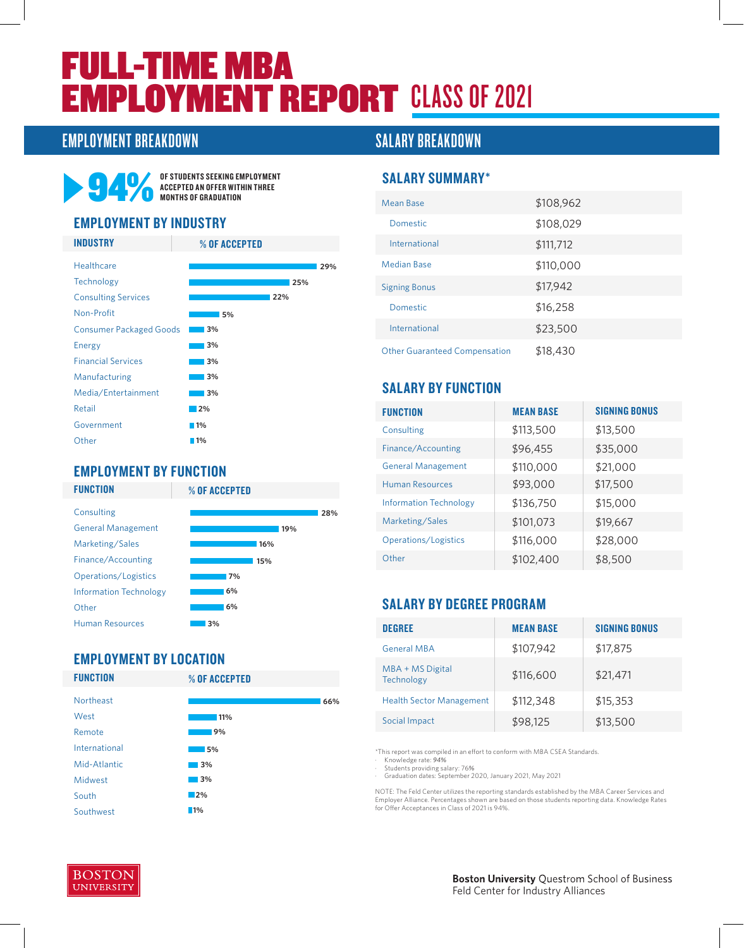# FULL-TIME MBA **EMPLOYMENT REPORT CLASS OF 2021**

### EMPLOYMENT BREAKDOWN SALARY BREAKDOWN



OF STUDENTS SEEKING EMPLOYMENT ACCEPTED AN OFFER WITHIN THREE MONTHS OF GRADUATION

#### EMPLOYMENT BY INDUSTRY



#### EMPLOYMENT BY FUNCTION

**FUNCTION** 



## EMPLOYMENT BY LOCATION

**FUNCTION** 

% OF ACCEPTED



#### SALARY SUMMARY\*

| Mean Base                            | \$108,962 |
|--------------------------------------|-----------|
| Domestic                             | \$108,029 |
| International                        | \$111,712 |
| Median Base                          | \$110,000 |
| <b>Signing Bonus</b>                 | \$17,942  |
| Domestic                             | \$16,258  |
| International                        | \$23,500  |
| <b>Other Guaranteed Compensation</b> | \$18,430  |

#### SALARY BY FUNCTION

| <b>FUNCTION</b>               | <b>MEAN BASE</b> | <b>SIGNING BONUS</b> |
|-------------------------------|------------------|----------------------|
| Consulting                    | \$113,500        | \$13,500             |
| Finance/Accounting            | \$96,455         | \$35,000             |
| <b>General Management</b>     | \$110,000        | \$21,000             |
| <b>Human Resources</b>        | \$93,000         | \$17,500             |
| <b>Information Technology</b> | \$136,750        | \$15,000             |
| Marketing/Sales               | \$101,073        | \$19,667             |
| Operations/Logistics          | \$116,000        | \$28,000             |
| Other                         | \$102,400        | \$8,500              |

#### SALARY BY DEGREE PROGRAM

| <b>DEGREE</b>                   | <b>MEAN BASE</b> | <b>SIGNING BONUS</b> |
|---------------------------------|------------------|----------------------|
| <b>General MBA</b>              | \$107,942        | \$17,875             |
| MBA + MS Digital<br>Technology  | \$116,600        | \$21,471             |
| <b>Health Sector Management</b> | \$112,348        | \$15,353             |
| Social Impact                   | \$98,125         | \$13,500             |

\*This report was compiled in an effort to conform with MBA CSEA Standards. · Knowledge rate: *94%*

· Students providing salary: 76*%* · Graduation dates: September 2020, January 2021, May 2021

NOTE: The Feld Center utilizes the reporting standards established by the MBA Career Services and<br>Employer Alliance. Percentages shown are based on those students reporting data. Knowledge Rates<br>for Offer Acceptances in Cl